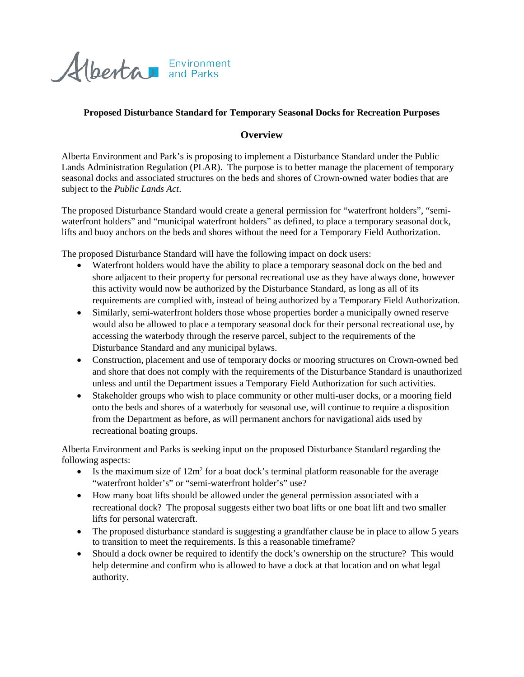

## **Proposed Disturbance Standard for Temporary Seasonal Docks for Recreation Purposes**

## **Overview**

Alberta Environment and Park's is proposing to implement a Disturbance Standard under the Public Lands Administration Regulation (PLAR). The purpose is to better manage the placement of temporary seasonal docks and associated structures on the beds and shores of Crown-owned water bodies that are subject to the *Public Lands Act*.

The proposed Disturbance Standard would create a general permission for "waterfront holders", "semiwaterfront holders" and "municipal waterfront holders" as defined, to place a temporary seasonal dock, lifts and buoy anchors on the beds and shores without the need for a Temporary Field Authorization.

The proposed Disturbance Standard will have the following impact on dock users:

- Waterfront holders would have the ability to place a temporary seasonal dock on the bed and shore adjacent to their property for personal recreational use as they have always done, however this activity would now be authorized by the Disturbance Standard, as long as all of its requirements are complied with, instead of being authorized by a Temporary Field Authorization.
- Similarly, semi-waterfront holders those whose properties border a municipally owned reserve would also be allowed to place a temporary seasonal dock for their personal recreational use, by accessing the waterbody through the reserve parcel, subject to the requirements of the Disturbance Standard and any municipal bylaws.
- Construction, placement and use of temporary docks or mooring structures on Crown-owned bed and shore that does not comply with the requirements of the Disturbance Standard is unauthorized unless and until the Department issues a Temporary Field Authorization for such activities.
- Stakeholder groups who wish to place community or other multi-user docks, or a mooring field onto the beds and shores of a waterbody for seasonal use, will continue to require a disposition from the Department as before, as will permanent anchors for navigational aids used by recreational boating groups.

Alberta Environment and Parks is seeking input on the proposed Disturbance Standard regarding the following aspects:

- Is the maximum size of  $12m^2$  for a boat dock's terminal platform reasonable for the average "waterfront holder's" or "semi-waterfront holder's" use?
- How many boat lifts should be allowed under the general permission associated with a recreational dock? The proposal suggests either two boat lifts or one boat lift and two smaller lifts for personal watercraft.
- The proposed disturbance standard is suggesting a grandfather clause be in place to allow 5 years to transition to meet the requirements. Is this a reasonable timeframe?
- Should a dock owner be required to identify the dock's ownership on the structure? This would help determine and confirm who is allowed to have a dock at that location and on what legal authority.